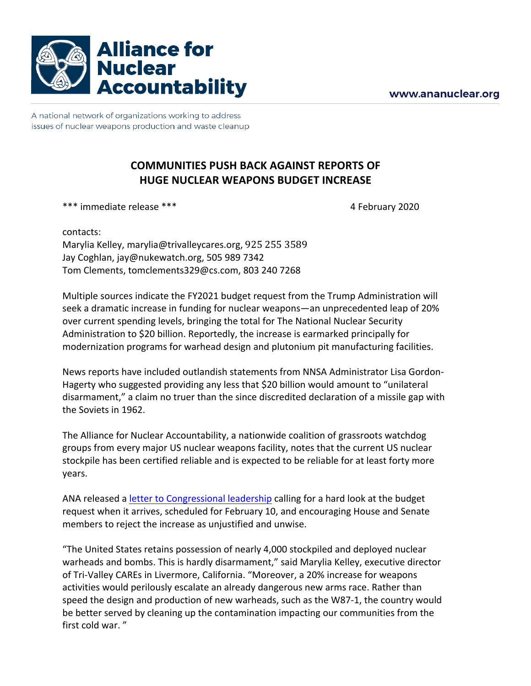

A national network of organizations working to address issues of nuclear weapons production and waste cleanup

## **COMMUNITIES PUSH BACK AGAINST REPORTS OF HUGE NUCLEAR WEAPONS BUDGET INCREASE**

\*\*\* immediate release \*\*\* 4 February 2020

contacts: Marylia Kelley, marylia@trivalleycares.org, 925 255 3589 Jay Coghlan, jay@nukewatch.org, 505 989 7342 Tom Clements, tomclements329@cs.com, 803 240 7268

Multiple sources indicate the FY2021 budget request from the Trump Administration will seek a dramatic increase in funding for nuclear weapons—an unprecedented leap of 20% over current spending levels, bringing the total for The National Nuclear Security Administration to \$20 billion. Reportedly, the increase is earmarked principally for modernization programs for warhead design and plutonium pit manufacturing facilities.

News reports have included outlandish statements from NNSA Administrator Lisa Gordon-Hagerty who suggested providing any less that \$20 billion would amount to "unilateral disarmament," a claim no truer than the since discredited declaration of a missile gap with the Soviets in 1962.

The Alliance for Nuclear Accountability, a nationwide coalition of grassroots watchdog groups from every major US nuclear weapons facility, notes that the current US nuclear stockpile has been certified reliable and is expected to be reliable for at least forty more years.

ANA released a letter to Congressional leadership calling for a hard look at the budget request when it arrives, scheduled for February 10, and encouraging House and Senate members to reject the increase as unjustified and unwise.

"The United States retains possession of nearly 4,000 stockpiled and deployed nuclear warheads and bombs. This is hardly disarmament," said Marylia Kelley, executive director of Tri-Valley CAREs in Livermore, California. "Moreover, a 20% increase for weapons activities would perilously escalate an already dangerous new arms race. Rather than speed the design and production of new warheads, such as the W87-1, the country would be better served by cleaning up the contamination impacting our communities from the first cold war."